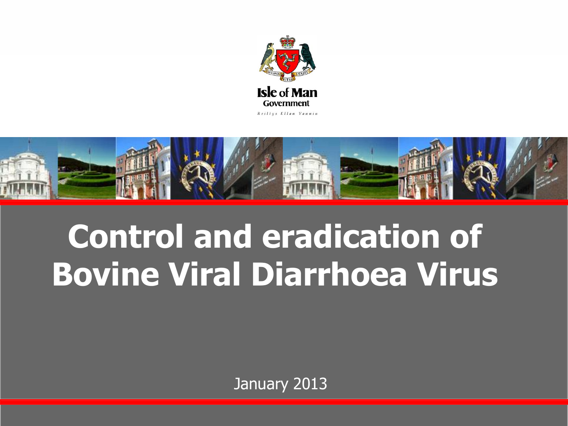



## **Control and eradication of Bovine Viral Diarrhoea Virus**

January 2013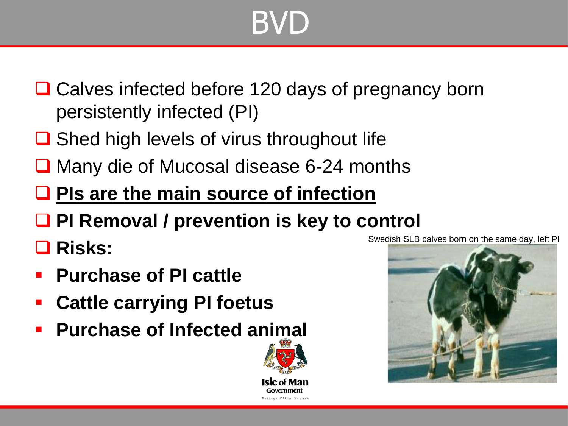## BVD

- **□ Calves infected before 120 days of pregnancy born** persistently infected (PI)
- **□** Shed high levels of virus throughout life
- **□ Many die of Mucosal disease 6-24 months**
- **PIs are the main source of infection**
- **PI Removal / prevention is key to control**
- **Risks:**
- **Purchase of PI cattle**
- **Cattle carrying PI foetus**
- **Purchase of Infected animal**





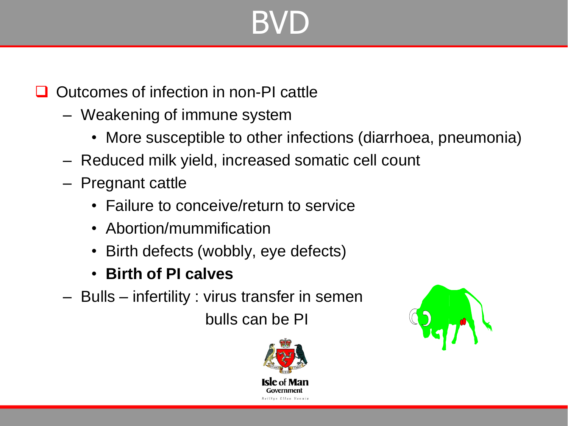## BVD

#### Outcomes of infection in non-PI cattle

- Weakening of immune system
	- More susceptible to other infections (diarrhoea, pneumonia)
- Reduced milk yield, increased somatic cell count
- Pregnant cattle
	- Failure to conceive/return to service
	- Abortion/mummification
	- Birth defects (wobbly, eye defects)
	- **Birth of PI calves**
- Bulls infertility : virus transfer in semen

bulls can be PI



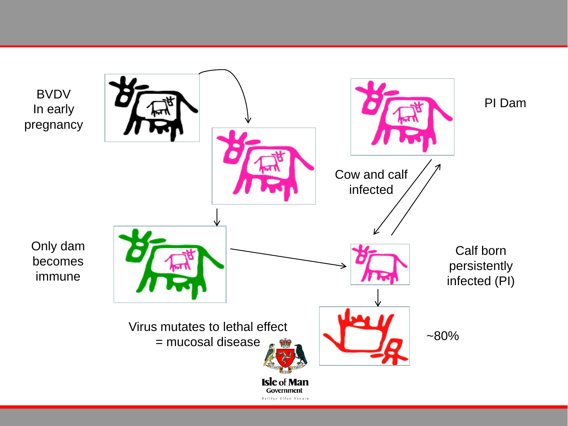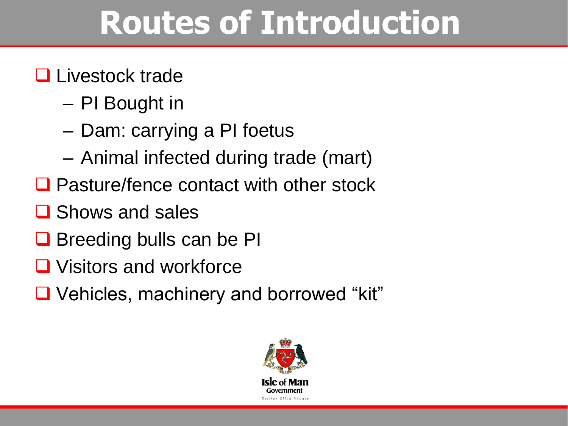## **Routes of Introduction**

#### **Livestock trade**

- PI Bought in
- Dam: carrying a PI foetus
- Animal infected during trade (mart)
- Pasture/fence contact with other stock
- **□** Shows and sales
- $\Box$  Breeding bulls can be PI
- **□** Visitors and workforce
- Vehicles, machinery and borrowed "kit"

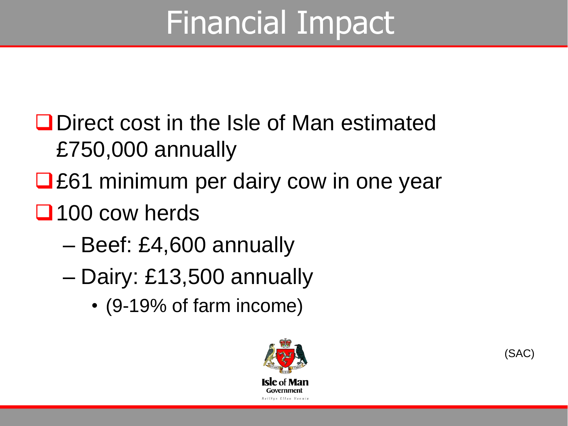## Financial Impact

- **O** Direct cost in the Isle of Man estimated £750,000 annually
- **□£61 minimum per dairy cow in one year**
- □ 100 cow herds
	- Beef: £4,600 annually
	- Dairy: £13,500 annually
		- (9-19% of farm income)



(SAC)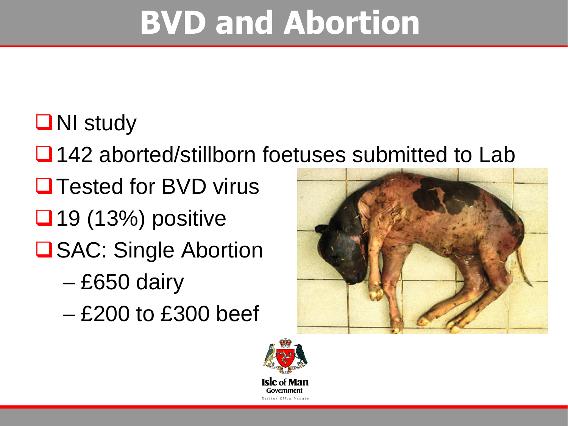## **BVD and Abortion**

### **ONI** study

**□ 142 aborted/stillborn foetuses submitted to Lab** 

- **Q Tested for BVD virus**
- $\Box$  19 (13%) positive
- **□SAC: Single Abortion** 
	- £650 dairy
	- £200 to £300 beef



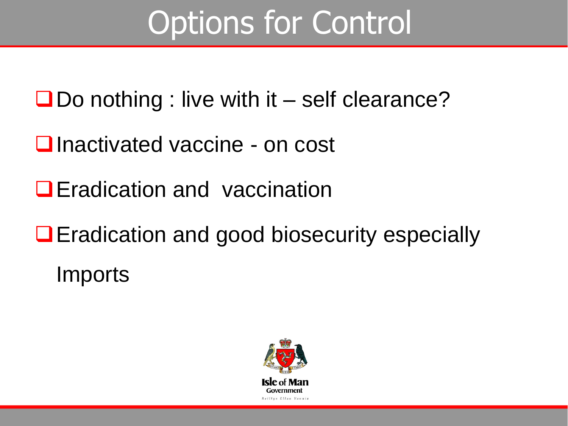## Options for Control

 $\Box$  Do nothing : live with it – self clearance?

**□** Inactivated vaccine - on cost

**E**radication and vaccination

**■** Eradication and good biosecurity especially **Imports** 

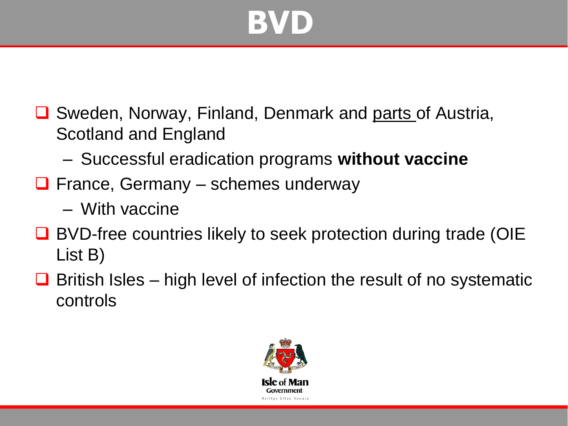## **BVD**

- **□** Sweden, Norway, Finland, Denmark and parts of Austria, Scotland and England
	- Successful eradication programs **without vaccine**
- $\Box$  France, Germany schemes underway
	- With vaccine
- **□** BVD-free countries likely to seek protection during trade (OIE List B)
- $\Box$  British Isles high level of infection the result of no systematic controls

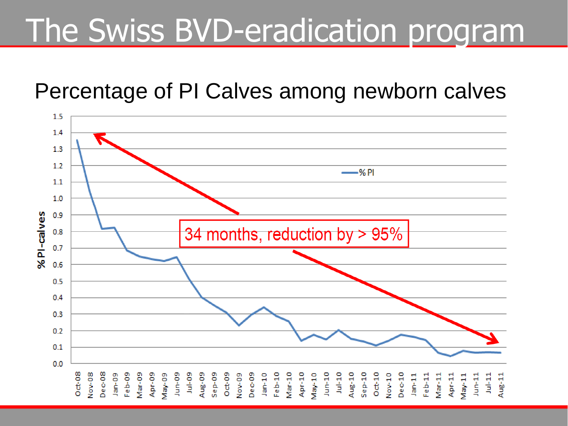### The Swiss BVD-eradication program

### Percentage of PI Calves among newborn calves

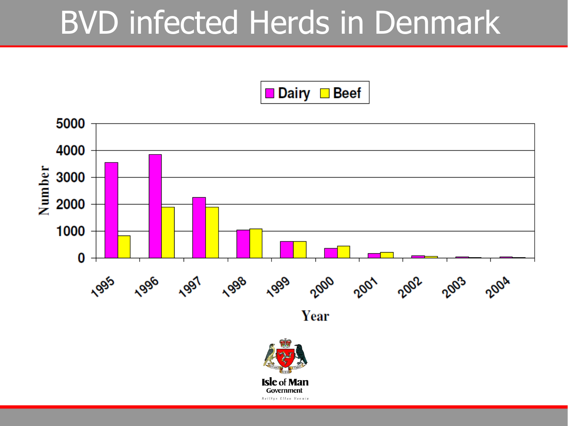### BVD infected Herds in Denmark